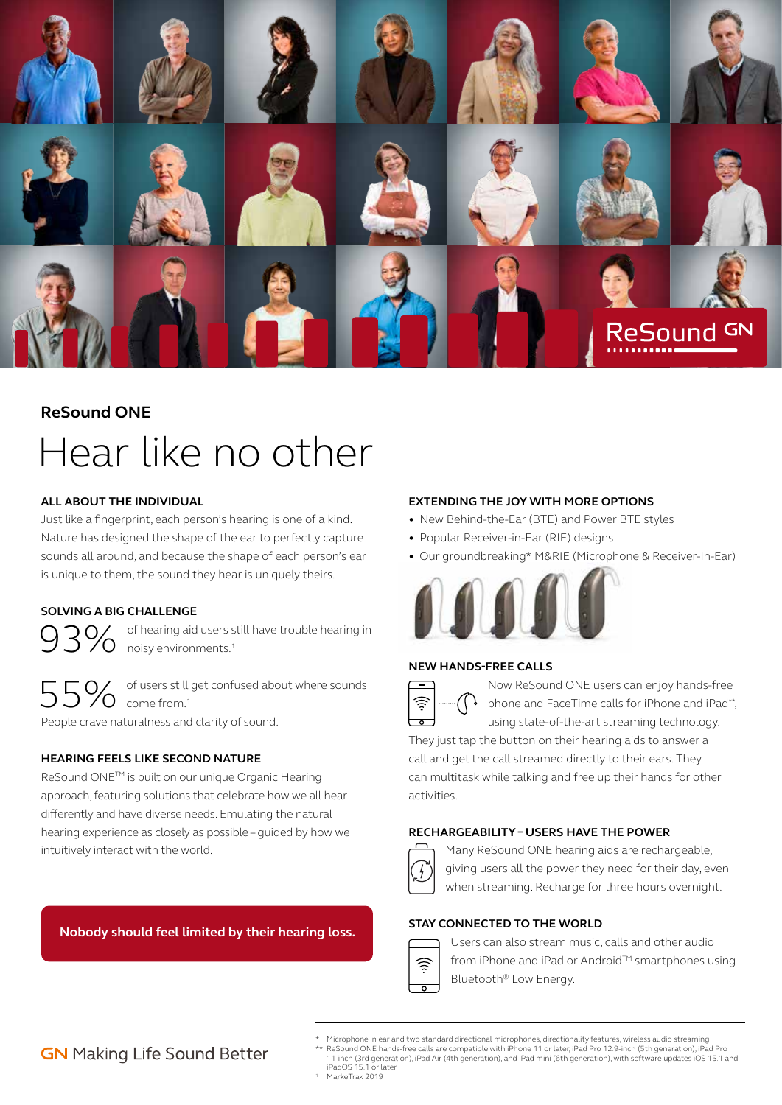

# **ReSound ONE** Hear like no other

### **ALL ABOUT THE INDIVIDUAL**

Just like a fingerprint, each person's hearing is one of a kind. Nature has designed the shape of the ear to perfectly capture sounds all around, and because the shape of each person's ear is unique to them, the sound they hear is uniquely theirs.

### **SOLVING A BIG CHALLENGE**

93% of hearing aid users still have trouble hearing in<br>
oisy environments.<sup>1</sup>

of users still get confused about where sounds  $\frac{1}{2}$  Come from.<sup>1</sup> People crave naturalness and clarity of sound.

### **HEARING FEELS LIKE SECOND NATURE**

ReSound ONETM is built on our unique Organic Hearing approach, featuring solutions that celebrate how we all hear differently and have diverse needs. Emulating the natural hearing experience as closely as possible – guided by how we intuitively interact with the world.

### **Nobody should feel limited by their hearing loss.**

### **EXTENDING THE JOY WITH MORE OPTIONS**

- New Behind-the-Ear (BTE) and Power BTE styles
- Popular Receiver-in-Ear (RIE) designs
- Our groundbreaking\* M&RIE (Microphone & Receiver-In-Ear)



### **NEW HANDS-FREE CALLS**

Now ReSound ONE users can enjoy hands-free **b** phone and FaceTime calls for iPhone and iPad\*\*,

using state-of-the-art streaming technology. They just tap the button on their hearing aids to answer a call and get the call streamed directly to their ears. They can multitask while talking and free up their hands for other activities.

#### **RECHARGEABILITY – USERS HAVE THE POWER**



Many ReSound ONE hearing aids are rechargeable, giving users all the power they need for their day, even when streaming. Recharge for three hours overnight.

### **STAY CONNECTED TO THE WORLD**



Users can also stream music, calls and other audio from iPhone and iPad or Android™ smartphones using Bluetooth® Low Energy.

# **GN** Making Life Sound Better

\* Microphone in ear and two standard directional microphones, directionality features, wireless audio streaming<br>\*\* ReSound ONE hands-free calls are compatible with iPhone 11 or later, iPad Pro 12.9-inch (Sth generation), i

iPadOS 15.1 or later. <sup>1</sup> MarkeTrak 2019